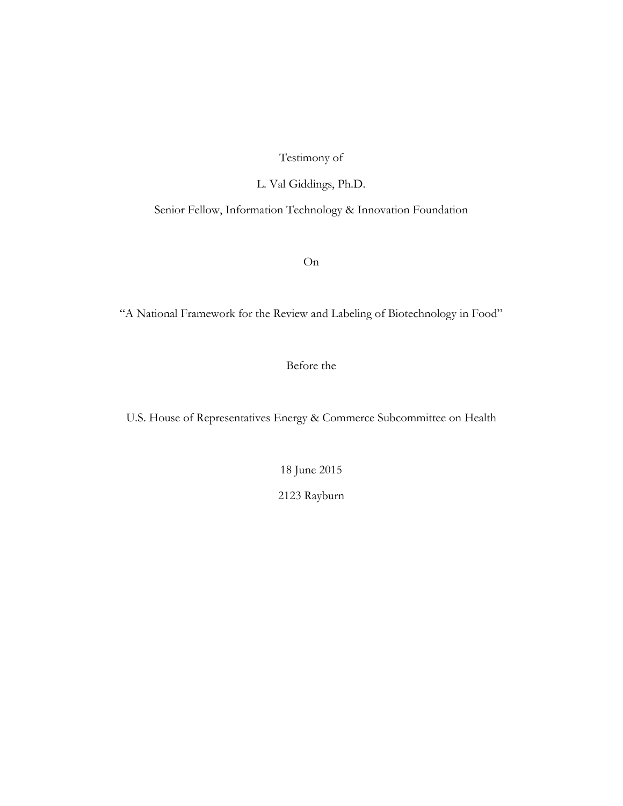# Testimony of

L. Val Giddings, Ph.D.

Senior Fellow, Information Technology & Innovation Foundation

On

"A National Framework for the Review and Labeling of Biotechnology in Food"

Before the

U.S. House of Representatives Energy & Commerce Subcommittee on Health

18 June 2015

2123 Rayburn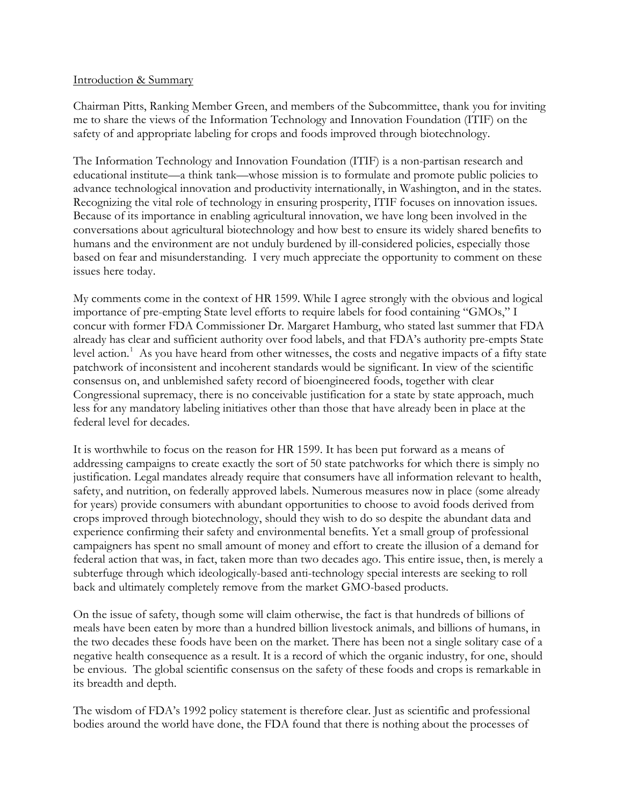#### Introduction & Summary

Chairman Pitts, Ranking Member Green, and members of the Subcommittee, thank you for inviting me to share the views of the Information Technology and Innovation Foundation (ITIF) on the safety of and appropriate labeling for crops and foods improved through biotechnology.

The Information Technology and Innovation Foundation (ITIF) is a non-partisan research and educational institute—a think tank—whose mission is to formulate and promote public policies to advance technological innovation and productivity internationally, in Washington, and in the states. Recognizing the vital role of technology in ensuring prosperity, ITIF focuses on innovation issues. Because of its importance in enabling agricultural innovation, we have long been involved in the conversations about agricultural biotechnology and how best to ensure its widely shared benefits to humans and the environment are not unduly burdened by ill-considered policies, especially those based on fear and misunderstanding. I very much appreciate the opportunity to comment on these issues here today.

My comments come in the context of HR 1599. While I agree strongly with the obvious and logical importance of pre-empting State level efforts to require labels for food containing "GMOs," I concur with former FDA Commissioner Dr. Margaret Hamburg, who stated last summer that FDA already has clear and sufficient authority over food labels, and that FDA's authority pre-empts State level action.<sup>[1](#page-11-0)</sup> As you have heard from other witnesses, the costs and negative impacts of a fifty state patchwork of inconsistent and incoherent standards would be significant. In view of the scientific consensus on, and unblemished safety record of bioengineered foods, together with clear Congressional supremacy, there is no conceivable justification for a state by state approach, much less for any mandatory labeling initiatives other than those that have already been in place at the federal level for decades.

It is worthwhile to focus on the reason for HR 1599. It has been put forward as a means of addressing campaigns to create exactly the sort of 50 state patchworks for which there is simply no justification. Legal mandates already require that consumers have all information relevant to health, safety, and nutrition, on federally approved labels. Numerous measures now in place (some already for years) provide consumers with abundant opportunities to choose to avoid foods derived from crops improved through biotechnology, should they wish to do so despite the abundant data and experience confirming their safety and environmental benefits. Yet a small group of professional campaigners has spent no small amount of money and effort to create the illusion of a demand for federal action that was, in fact, taken more than two decades ago. This entire issue, then, is merely a subterfuge through which ideologically-based anti-technology special interests are seeking to roll back and ultimately completely remove from the market GMO-based products.

On the issue of safety, though some will claim otherwise, the fact is that hundreds of billions of meals have been eaten by more than a hundred billion livestock animals, and billions of humans, in the two decades these foods have been on the market. There has been not a single solitary case of a negative health consequence as a result. It is a record of which the organic industry, for one, should be envious. The global scientific consensus on the safety of these foods and crops is remarkable in its breadth and depth.

The wisdom of FDA's 1992 policy statement is therefore clear. Just as scientific and professional bodies around the world have done, the FDA found that there is nothing about the processes of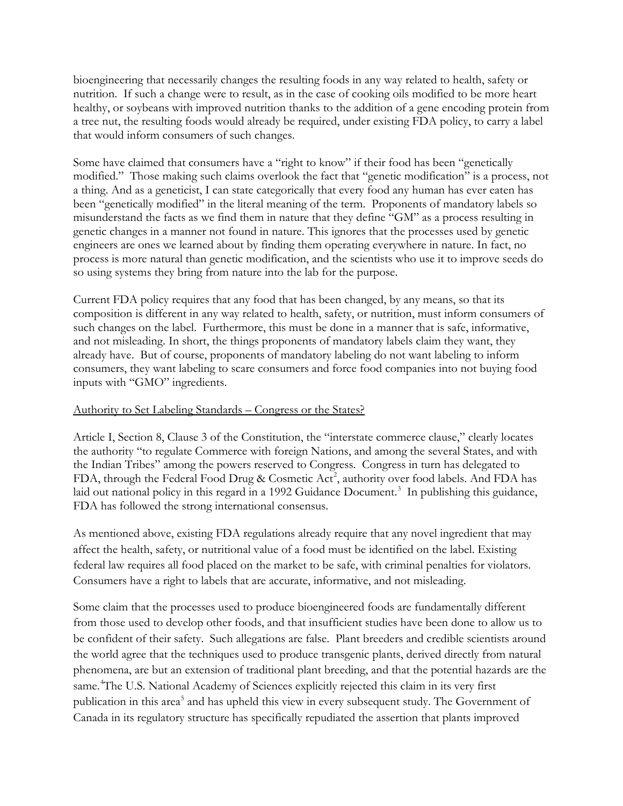bioengineering that necessarily changes the resulting foods in any way related to health, safety or nutrition. If such a change were to result, as in the case of cooking oils modified to be more heart healthy, or soybeans with improved nutrition thanks to the addition of a gene encoding protein from a tree nut, the resulting foods would already be required, under existing FDA policy, to carry a label that would inform consumers of such changes.

Some have claimed that consumers have a "right to know" if their food has been "genetically modified." Those making such claims overlook the fact that "genetic modification" is a process, not a thing. And as a geneticist, I can state categorically that every food any human has ever eaten has been "genetically modified" in the literal meaning of the term. Proponents of mandatory labels so misunderstand the facts as we find them in nature that they define "GM" as a process resulting in genetic changes in a manner not found in nature. This ignores that the processes used by genetic engineers are ones we learned about by finding them operating everywhere in nature. In fact, no process is more natural than genetic modification, and the scientists who use it to improve seeds do so using systems they bring from nature into the lab for the purpose.

Current FDA policy requires that any food that has been changed, by any means, so that its composition is different in any way related to health, safety, or nutrition, must inform consumers of such changes on the label. Furthermore, this must be done in a manner that is safe, informative, and not misleading. In short, the things proponents of mandatory labels claim they want, they already have. But of course, proponents of mandatory labeling do not want labeling to inform consumers, they want labeling to scare consumers and force food companies into not buying food inputs with "GMO" ingredients.

### Authority to Set Labeling Standards – Congress or the States?

Article I, Section 8, Clause 3 of the Constitution, the "interstate commerce clause," clearly locates the authority "to regulate Commerce with foreign Nations, and among the several States, and with the Indian Tribes" among the powers reserved to Congress. Congress in turn has delegated to FDA, through the Federal Food Drug & Cosmetic Act<sup>[2](#page-11-1)</sup>, authority over food labels. And FDA has laid out national policy in this regard in a 1992 Guidance Document.<sup>[3](#page-11-2)</sup> In publishing this guidance, FDA has followed the strong international consensus.

As mentioned above, existing FDA regulations already require that any novel ingredient that may affect the health, safety, or nutritional value of a food must be identified on the label. Existing federal law requires all food placed on the market to be safe, with criminal penalties for violators. Consumers have a right to labels that are accurate, informative, and not misleading.

Some claim that the processes used to produce bioengineered foods are fundamentally different from those used to develop other foods, and that insufficient studies have been done to allow us to be confident of their safety. Such allegations are false. Plant breeders and credible scientists around the world agree that the techniques used to produce transgenic plants, derived directly from natural phenomena, are but an extension of traditional plant breeding, and that the potential hazards are the same.<sup>[4](#page-11-3)</sup>The U.S. National Academy of Sciences explicitly rejected this claim in its very first publication in this area<sup>[5](#page-11-4)</sup> and has upheld this view in every subsequent study. The Government of Canada in its regulatory structure has specifically repudiated the assertion that plants improved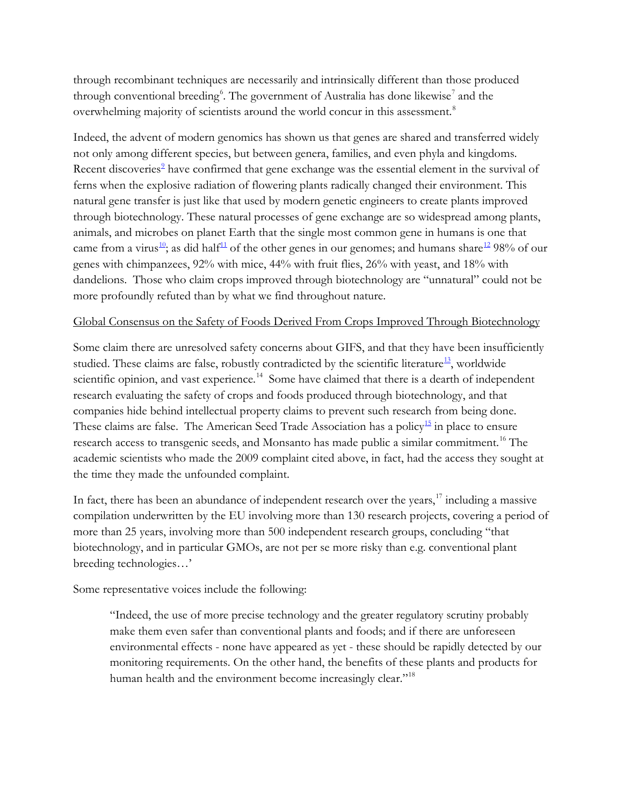through recombinant techniques are necessarily and intrinsically different than those produced through conventional breeding<sup>[6](#page-12-0)</sup>. The government of Australia has done likewise<sup>[7](#page-12-1)</sup> and the overwhelming majority of scientists around the world concur in this assessment.<sup>[8](#page-12-2)</sup>

Indeed, the advent of modern genomics has shown us that genes are shared and transferred widely not only among different species, but between genera, families, and even phyla and kingdoms. Recent discoveries<sup>[9](#page-12-3)</sup> have confirmed that gene exchange was the essential element in the survival of ferns when the explosive radiation of flowering plants radically changed their environment. This natural gene transfer is just like that used by modern genetic engineers to create plants improved through biotechnology. These natural processes of gene exchange are so widespread among plants, animals, and microbes on planet Earth that the single most common gene in humans is one that came from a virus<sup>10</sup>; as did half<sup>[11](#page-12-5)</sup> of the other genes in our genomes; and humans share<sup>[12](#page-12-6)</sup> 98% of our genes with chimpanzees, 92% with mice, 44% with fruit flies, 26% with yeast, and 18% with dandelions. Those who claim crops improved through biotechnology are "unnatural" could not be more profoundly refuted than by what we find throughout nature.

### Global Consensus on the Safety of Foods Derived From Crops Improved Through Biotechnology

Some claim there are unresolved safety concerns about GIFS, and that they have been insufficiently studied. These claims are false, robustly contradicted by the scientific literature<sup>[13](#page-12-7)</sup>, worldwide scientific opinion, and vast experience.<sup>[14](#page-12-8)</sup> Some have claimed that there is a dearth of independent research evaluating the safety of crops and foods produced through biotechnology, and that companies hide behind intellectual property claims to prevent such research from being done. These claims are false. The American Seed Trade Association has a policy<sup>15</sup> in place to ensure research access to transgenic seeds, and Monsanto has made public a similar commitment.<sup>[16](#page-12-10)</sup> The academic scientists who made the 2009 complaint cited above, in fact, had the access they sought at the time they made the unfounded complaint.

In fact, there has been an abundance of independent research over the years, $17$  including a massive compilation underwritten by the EU involving more than 130 research projects, covering a period of more than 25 years, involving more than 500 independent research groups, concluding "that biotechnology, and in particular GMOs, are not per se more risky than e.g. conventional plant breeding technologies…'

Some representative voices include the following:

"Indeed, the use of more precise technology and the greater regulatory scrutiny probably make them even safer than conventional plants and foods; and if there are unforeseen environmental effects - none have appeared as yet - these should be rapidly detected by our monitoring requirements. On the other hand, the benefits of these plants and products for human health and the environment become increasingly clear."<sup>[18](#page-12-12)</sup>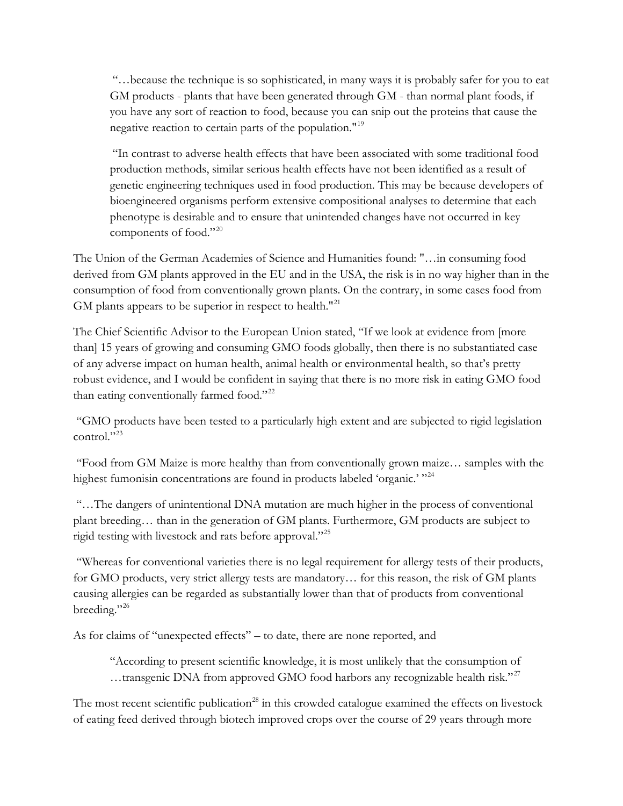"…because the technique is so sophisticated, in many ways it is probably safer for you to eat GM products - plants that have been generated through GM - than normal plant foods, if you have any sort of reaction to food, because you can snip out the proteins that cause the negative reaction to certain parts of the population."<sup>[19](#page-13-0)</sup>

"In contrast to adverse health effects that have been associated with some traditional food production methods, similar serious health effects have not been identified as a result of genetic engineering techniques used in food production. This may be because developers of bioengineered organisms perform extensive compositional analyses to determine that each phenotype is desirable and to ensure that unintended changes have not occurred in key components of food."<sup>[20](#page-13-1)</sup>

The Union of the German Academies of Science and Humanities found: "…in consuming food derived from GM plants approved in the EU and in the USA, the risk is in no way higher than in the consumption of food from conventionally grown plants. On the contrary, in some cases food from GM plants appears to be superior in respect to health."<sup>[21](#page-13-2)</sup>

The Chief Scientific Advisor to the European Union stated, "If we look at evidence from [more than] 15 years of growing and consuming GMO foods globally, then there is no substantiated case of any adverse impact on human health, animal health or environmental health, so that's pretty robust evidence, and I would be confident in saying that there is no more risk in eating GMO food than eating conventionally farmed food."<sup>[22](#page-13-3)</sup>

"GMO products have been tested to a particularly high extent and are subjected to rigid legislation control."<sup>[23](#page-13-4)</sup>

"Food from GM Maize is more healthy than from conventionally grown maize… samples with the highest fumonisin concentrations are found in products labeled 'organic.' "<sup>[24](#page-13-5)</sup>

"…The dangers of unintentional DNA mutation are much higher in the process of conventional plant breeding… than in the generation of GM plants. Furthermore, GM products are subject to rigid testing with livestock and rats before approval."[25](#page-13-6)

"Whereas for conventional varieties there is no legal requirement for allergy tests of their products, for GMO products, very strict allergy tests are mandatory… for this reason, the risk of GM plants causing allergies can be regarded as substantially lower than that of products from conventional breeding."<sup>[26](#page-13-7)</sup>

As for claims of "unexpected effects" – to date, there are none reported, and

"According to present scientific knowledge, it is most unlikely that the consumption of ...transgenic DNA from approved GMO food harbors any recognizable health risk."<sup>[27](#page-13-8)</sup>

The most recent scientific publication<sup>[28](#page-13-9)</sup> in this crowded catalogue examined the effects on livestock of eating feed derived through biotech improved crops over the course of 29 years through more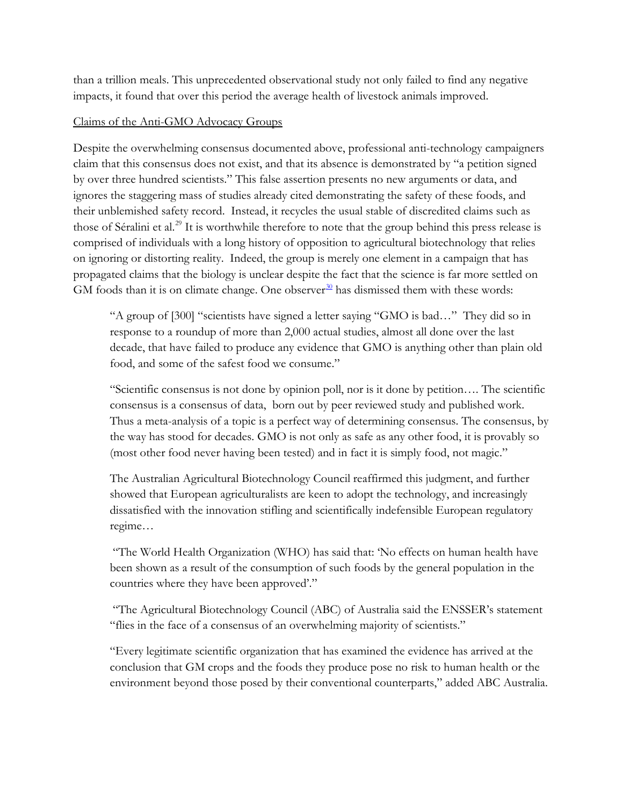than a trillion meals. This unprecedented observational study not only failed to find any negative impacts, it found that over this period the average health of livestock animals improved.

# Claims of the Anti-GMO Advocacy Groups

Despite the overwhelming consensus documented above, professional anti-technology campaigners claim that this consensus does not exist, and that its absence is demonstrated by "a petition signed by over three hundred scientists." This false assertion presents no new arguments or data, and ignores the staggering mass of studies already cited demonstrating the safety of these foods, and their unblemished safety record. Instead, it recycles the usual stable of discredited claims such as those of Séralini et al.<sup>[29](#page-14-0)</sup> It is worthwhile therefore to note that the group behind this press release is comprised of individuals with a long history of opposition to agricultural biotechnology that relies on ignoring or distorting reality. Indeed, the group is merely one element in a campaign that has propagated claims that the biology is unclear despite the fact that the science is far more settled on GM foods than it is on climate change. One observer<sup>[30](#page-14-1)</sup> has dismissed them with these words:

"A group of [300] "scientists have signed a letter saying "GMO is bad…" They did so in response to a roundup of more than 2,000 actual studies, almost all done over the last decade, that have failed to produce any evidence that GMO is anything other than plain old food, and some of the safest food we consume."

"Scientific consensus is not done by opinion poll, nor is it done by petition…. The scientific consensus is a consensus of data, born out by peer reviewed study and published work. Thus a meta-analysis of a topic is a perfect way of determining consensus. The consensus, by the way has stood for decades. GMO is not only as safe as any other food, it is provably so (most other food never having been tested) and in fact it is simply food, not magic."

The Australian Agricultural Biotechnology Council reaffirmed this judgment, and further showed that European agriculturalists are keen to adopt the technology, and increasingly dissatisfied with the innovation stifling and scientifically indefensible European regulatory regime…

"The World Health Organization (WHO) has said that: 'No effects on human health have been shown as a result of the consumption of such foods by the general population in the countries where they have been approved'."

"The Agricultural Biotechnology Council (ABC) of Australia said the ENSSER's statement "flies in the face of a consensus of an overwhelming majority of scientists."

"Every legitimate scientific organization that has examined the evidence has arrived at the conclusion that GM crops and the foods they produce pose no risk to human health or the environment beyond those posed by their conventional counterparts," added ABC Australia.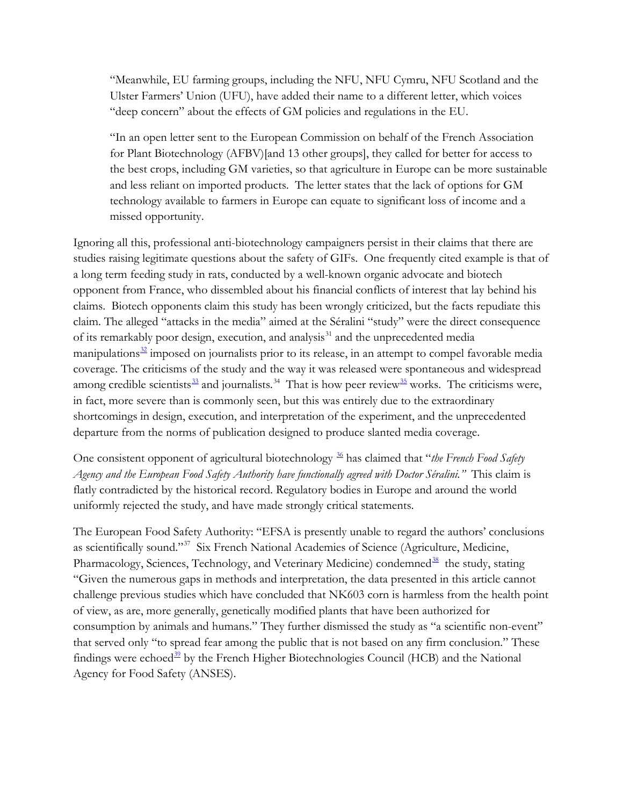"Meanwhile, EU farming groups, including the NFU, NFU Cymru, NFU Scotland and the Ulster Farmers' Union (UFU), have added their name to a different letter, which voices "deep concern" about the effects of GM policies and regulations in the EU.

"In an open letter sent to the European Commission on behalf of the French Association for Plant Biotechnology (AFBV)[and 13 other groups], they called for better for access to the best crops, including GM varieties, so that agriculture in Europe can be more sustainable and less reliant on imported products. The letter states that the lack of options for GM technology available to farmers in Europe can equate to significant loss of income and a missed opportunity.

Ignoring all this, professional anti-biotechnology campaigners persist in their claims that there are studies raising legitimate questions about the safety of GIFs. One frequently cited example is that of a long term feeding study in rats, conducted by a well-known organic advocate and biotech opponent from France, who dissembled about his financial conflicts of interest that lay behind his claims. Biotech opponents claim this study has been wrongly criticized, but the facts repudiate this claim. The alleged "attacks in the media" aimed at the Séralini "study" were the direct consequence of its remarkably poor design, execution, and analysis<sup>[31](#page-14-2)</sup> and the unprecedented media manipulations $32$  imposed on journalists prior to its release, in an attempt to compel favorable media coverage. The criticisms of the study and the way it was released were spontaneous and widespread among credible scientists $33$  and journalists.<sup>[34](#page-14-5)</sup> That is how peer review<sup>[35](#page-14-6)</sup> works. The criticisms were, in fact, more severe than is commonly seen, but this was entirely due to the extraordinary shortcomings in design, execution, and interpretation of the experiment, and the unprecedented departure from the norms of publication designed to produce slanted media coverage.

One consistent opponent of agricultural biotechnology [36](#page-14-7) has claimed that "*the French Food Safety Agency and the European Food Safety Authority have functionally agreed with Doctor Séralini."* This claim is flatly contradicted by the historical record. Regulatory bodies in Europe and around the world uniformly rejected the study, and have made strongly critical statements.

The European Food Safety Authority: "EFSA is presently unable to regard the authors' conclusions as scientifically sound."[37](#page-14-8) Six French National Academies of Science (Agriculture, Medicine, Pharmacology, Sciences, Technology, and Veterinary Medicine) condemned<sup>[38](#page-14-9)</sup> the study, stating "Given the numerous gaps in methods and interpretation, the data presented in this article cannot challenge previous studies which have concluded that NK603 corn is harmless from the health point of view, as are, more generally, genetically modified plants that have been authorized for consumption by animals and humans." They further dismissed the study as "a scientific non-event" that served only "to spread fear among the public that is not based on any firm conclusion." These findings were echoed $39$  by the French Higher Biotechnologies Council (HCB) and the National Agency for Food Safety (ANSES).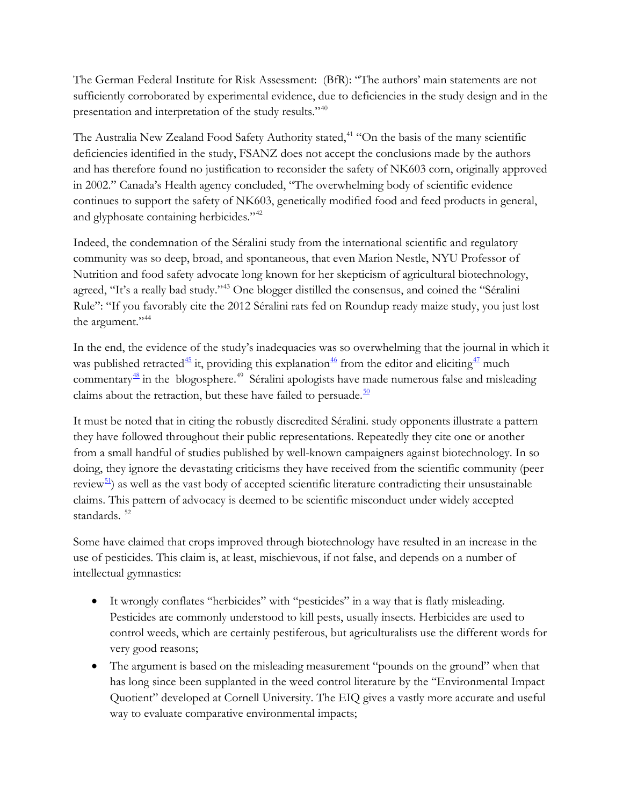The German Federal Institute for Risk Assessment: (BfR): "The authors' main statements are not sufficiently corroborated by experimental evidence, due to deficiencies in the study design and in the presentation and interpretation of the study results."[40](#page-14-11)

The Australia New Zealand Food Safety Authority stated,<sup>[41](#page-14-12)</sup> "On the basis of the many scientific deficiencies identified in the study, FSANZ does not accept the conclusions made by the authors and has therefore found no justification to reconsider the safety of NK603 corn, originally approved in 2002." Canada's Health agency concluded, "The overwhelming body of scientific evidence continues to support the safety of NK603, genetically modified food and feed products in general, and glyphosate containing herbicides."<sup>[42](#page-14-13)</sup>

Indeed, the condemnation of the Séralini study from the international scientific and regulatory community was so deep, broad, and spontaneous, that even Marion Nestle, NYU Professor of Nutrition and food safety advocate long known for her skepticism of agricultural biotechnology, agreed, "It's a really bad study."[43](#page-14-14) One blogger distilled the consensus, and coined the "Séralini Rule": "If you favorably cite the 2012 Séralini rats fed on Roundup ready maize study, you just lost the argument."<sup>[44](#page-14-15)</sup>

In the end, the evidence of the study's inadequacies was so overwhelming that the journal in which it was published retracted<sup>[45](#page-14-16)</sup> it, providing this explanation<sup>[46](#page-14-17)</sup> from the editor and eliciting<sup>[47](#page-14-1)</sup> much commentary<sup>[48](#page-14-18)</sup> in the blogosphere.<sup>[49](#page-14-19)</sup> Séralini apologists have made numerous false and misleading claims about the retraction, but these have failed to persuade. $\frac{50}{2}$  $\frac{50}{2}$  $\frac{50}{2}$ 

It must be noted that in citing the robustly discredited Séralini. study opponents illustrate a pattern they have followed throughout their public representations. Repeatedly they cite one or another from a small handful of studies published by well-known campaigners against biotechnology. In so doing, they ignore the devastating criticisms they have received from the scientific community (peer review<sup>[51](#page-14-21)</sup>) as well as the vast body of accepted scientific literature contradicting their unsustainable claims. This pattern of advocacy is deemed to be scientific misconduct under widely accepted standards.<sup>[52](#page-14-4)</sup>

Some have claimed that crops improved through biotechnology have resulted in an increase in the use of pesticides. This claim is, at least, mischievous, if not false, and depends on a number of intellectual gymnastics:

- It wrongly conflates "herbicides" with "pesticides" in a way that is flatly misleading. Pesticides are commonly understood to kill pests, usually insects. Herbicides are used to control weeds, which are certainly pestiferous, but agriculturalists use the different words for very good reasons;
- The argument is based on the misleading measurement "pounds on the ground" when that has long since been supplanted in the weed control literature by the "Environmental Impact Quotient" developed at Cornell University. The EIQ gives a vastly more accurate and useful way to evaluate comparative environmental impacts;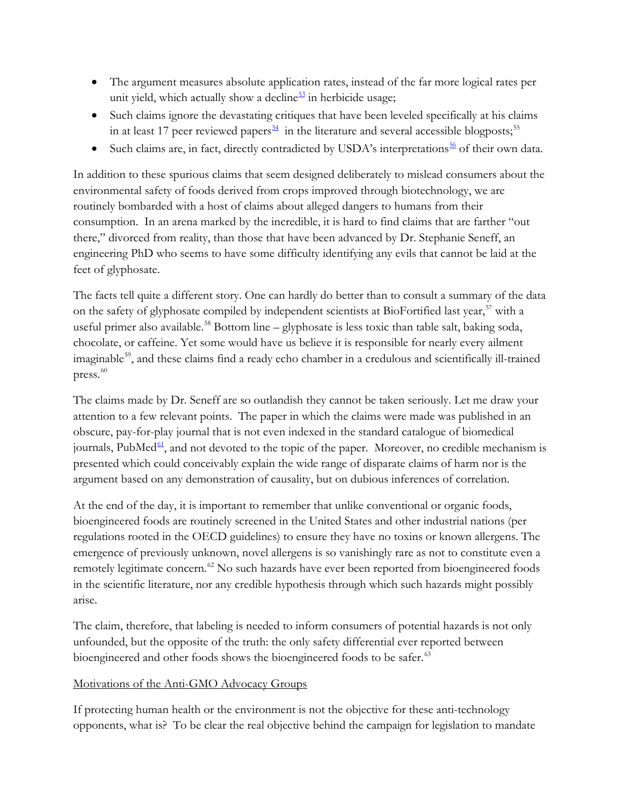- The argument measures absolute application rates, instead of the far more logical rates per unit yield, which actually show a decline $53$  in herbicide usage;
- Such claims ignore the devastating critiques that have been leveled specifically at his claims in at least 17 peer reviewed papers<sup> $54$ </sup> in the literature and several accessible blogposts;<sup>[55](#page-14-24)</sup>
- Such claims are, in fact, directly contradicted by USDA's interpretations $\frac{56}{2}$  $\frac{56}{2}$  $\frac{56}{2}$  of their own data.

In addition to these spurious claims that seem designed deliberately to mislead consumers about the environmental safety of foods derived from crops improved through biotechnology, we are routinely bombarded with a host of claims about alleged dangers to humans from their consumption. In an arena marked by the incredible, it is hard to find claims that are farther "out there," divorced from reality, than those that have been advanced by Dr. Stephanie Seneff, an engineering PhD who seems to have some difficulty identifying any evils that cannot be laid at the feet of glyphosate.

The facts tell quite a different story. One can hardly do better than to consult a summary of the data on the safety of glyphosate compiled by independent scientists at BioFortified last year,<sup>[57](#page-14-11)</sup> with a useful primer also available.<sup>[58](#page-14-26)</sup> Bottom line – glyphosate is less toxic than table salt, baking soda, chocolate, or caffeine. Yet some would have us believe it is responsible for nearly every ailment imaginable<sup>59</sup>, and these claims find a ready echo chamber in a credulous and scientifically ill-trained press.<sup>[60](#page-14-12)</sup>

The claims made by Dr. Seneff are so outlandish they cannot be taken seriously. Let me draw your attention to a few relevant points. The paper in which the claims were made was published in an obscure, pay-for-play journal that is not even indexed in the standard catalogue of biomedical journals, PubMed $\frac{61}{2}$  $\frac{61}{2}$  $\frac{61}{2}$ , and not devoted to the topic of the paper. Moreover, no credible mechanism is presented which could conceivably explain the wide range of disparate claims of harm nor is the argument based on any demonstration of causality, but on dubious inferences of correlation.

At the end of the day, it is important to remember that unlike conventional or organic foods, bioengineered foods are routinely screened in the United States and other industrial nations (per regulations rooted in the OECD guidelines) to ensure they have no toxins or known allergens. The emergence of previously unknown, novel allergens is so vanishingly rare as not to constitute even a remotely legitimate concern.<sup>[62](#page-14-29)</sup> No such hazards have ever been reported from bioengineered foods in the scientific literature, nor any credible hypothesis through which such hazards might possibly arise.

The claim, therefore, that labeling is needed to inform consumers of potential hazards is not only unfounded, but the opposite of the truth: the only safety differential ever reported between bioengineered and other foods shows the bioengineered foods to be safer.<sup>[63](#page-14-30)</sup>

# Motivations of the Anti-GMO Advocacy Groups

If protecting human health or the environment is not the objective for these anti-technology opponents, what is? To be clear the real objective behind the campaign for legislation to mandate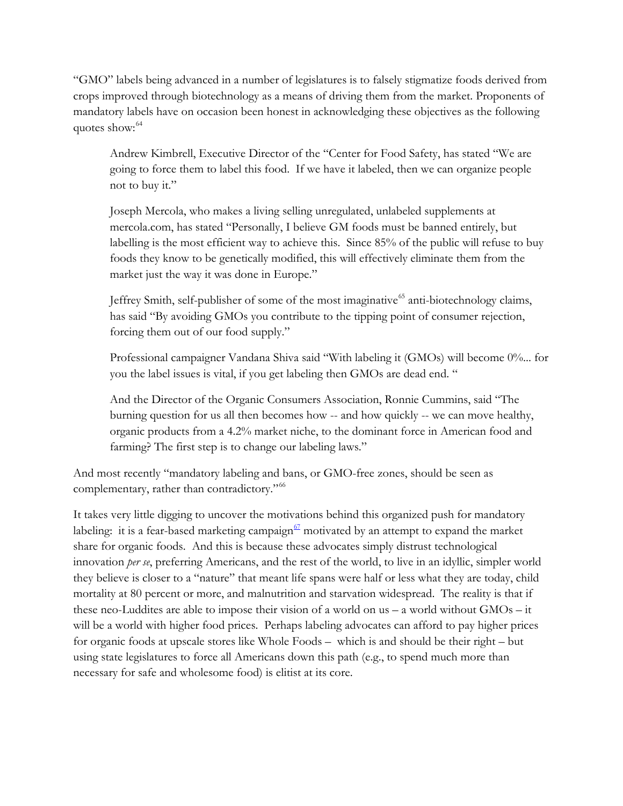"GMO" labels being advanced in a number of legislatures is to falsely stigmatize foods derived from crops improved through biotechnology as a means of driving them from the market. Proponents of mandatory labels have on occasion been honest in acknowledging these objectives as the following quotes show:<sup>[64](#page-14-31)</sup>

Andrew Kimbrell, Executive Director of the "Center for Food Safety, has stated "We are going to force them to label this food. If we have it labeled, then we can organize people not to buy it."

Joseph Mercola, who makes a living selling unregulated, unlabeled supplements at mercola.com, has stated "Personally, I believe GM foods must be banned entirely, but labelling is the most efficient way to achieve this. Since 85% of the public will refuse to buy foods they know to be genetically modified, this will effectively eliminate them from the market just the way it was done in Europe."

Jeffrey Smith, self-publisher of some of the most imaginative<sup>[65](#page-14-32)</sup> anti-biotechnology claims, has said "By avoiding GMOs you contribute to the tipping point of consumer rejection, forcing them out of our food supply."

Professional campaigner Vandana Shiva said "With labeling it (GMOs) will become 0%... for you the label issues is vital, if you get labeling then GMOs are dead end. "

And the Director of the Organic Consumers Association, Ronnie Cummins, said "The burning question for us all then becomes how -- and how quickly -- we can move healthy, organic products from a 4.2% market niche, to the dominant force in American food and farming? The first step is to change our labeling laws."

And most recently "mandatory labeling and bans, or GMO-free zones, should be seen as complementary, rather than contradictory."<sup>[66](#page-14-0)</sup>

It takes very little digging to uncover the motivations behind this organized push for mandatory labeling: it is a fear-based marketing campaign<sup> $67$ </sup> motivated by an attempt to expand the market share for organic foods. And this is because these advocates simply distrust technological innovation *per se*, preferring Americans, and the rest of the world, to live in an idyllic, simpler world they believe is closer to a "nature" that meant life spans were half or less what they are today, child mortality at 80 percent or more, and malnutrition and starvation widespread. The reality is that if these neo-Luddites are able to impose their vision of a world on us – a world without GMOs – it will be a world with higher food prices. Perhaps labeling advocates can afford to pay higher prices for organic foods at upscale stores like Whole Foods – which is and should be their right – but using state legislatures to force all Americans down this path (e.g., to spend much more than necessary for safe and wholesome food) is elitist at its core.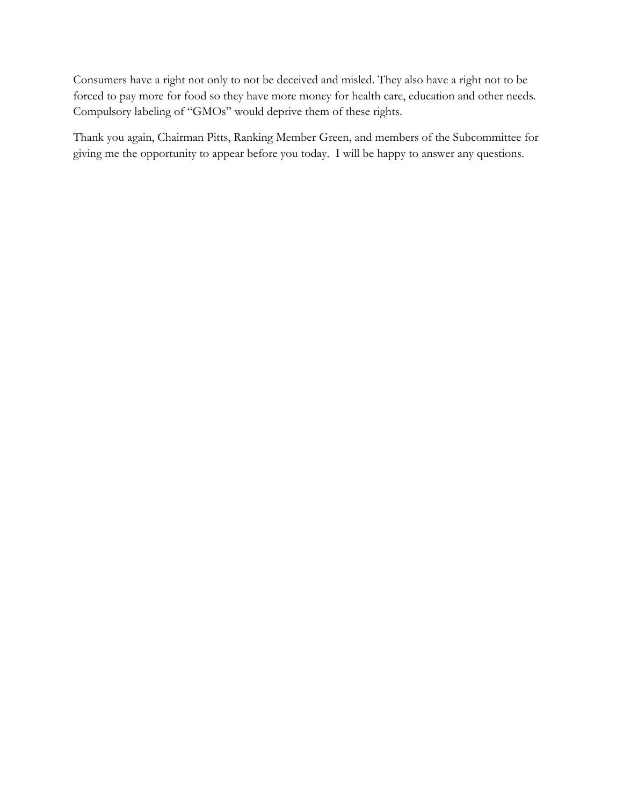Consumers have a right not only to not be deceived and misled. They also have a right not to be forced to pay more for food so they have more money for health care, education and other needs. Compulsory labeling of "GMOs" would deprive them of these rights.

Thank you again, Chairman Pitts, Ranking Member Green, and members of the Subcommittee for giving me the opportunity to appear before you today. I will be happy to answer any questions.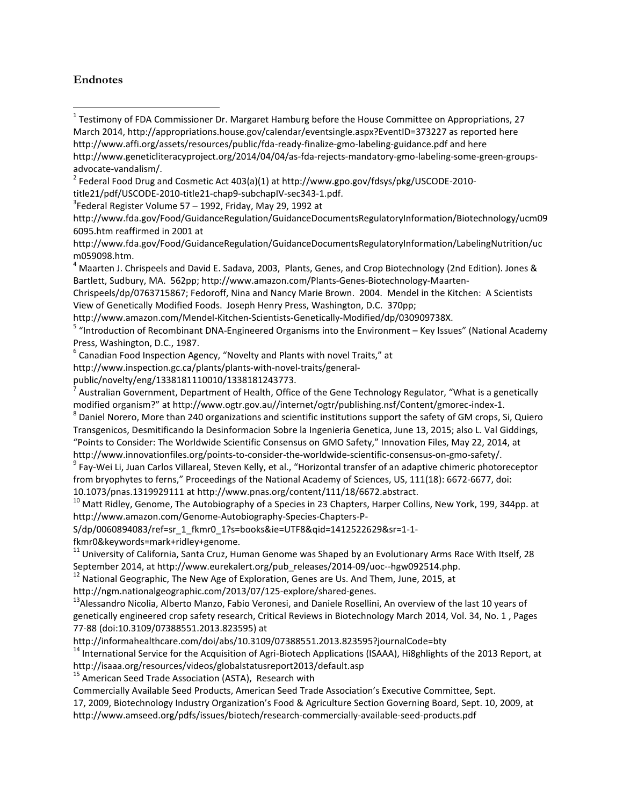#### **Endnotes**

- <span id="page-11-0"></span> $<sup>1</sup>$  Testimony of FDA Commissioner Dr. Margaret Hamburg before the House Committee on Appropriations, 27</sup> March 2014, http://appropriations.house.gov/calendar/eventsingle.aspx?EventID=373227 as reported here http://www.affi.org/assets/resources/public/fda-ready-finalize-gmo-labeling-guidance.pdf and here
- http://www.geneticliteracyproject.org/2014/04/04/as-fda-rejects-mandatory-gmo-labeling-some-green-groupsadvocate-vandalism/.<br><sup>2</sup> Federal Food Drug and Cosmetic Act 403(a)(1) at http://www.gpo.gov/fdsys/pkg/USCODE-2010-
- <span id="page-11-1"></span>title21/pdf/USCODE-2010-title21-chap9-subchapIV-sec343-1.pdf. 3
- <span id="page-11-2"></span> $3$ Federal Register Volume 57 – 1992, Friday, May 29, 1992 at
- http://www.fda.gov/Food/GuidanceRegulation/GuidanceDocumentsRegulatoryInformation/Biotechnology/ucm09 6095.htm reaffirmed in 2001 at
- http://www.fda.gov/Food/GuidanceRegulation/GuidanceDocumentsRegulatoryInformation/LabelingNutrition/uc
- <span id="page-11-3"></span>m059098.htm.<br><sup>4</sup> Maarten J. Chrispeels and David E. Sadava, 2003, Plants, Genes, and Crop Biotechnology (2nd Edition). Jones & Bartlett, Sudbury, MA. 562pp; http://www.amazon.com/Plants-Genes-Biotechnology-Maarten-
- Chrispeels/dp/0763715867; Fedoroff, Nina and Nancy Marie Brown. 2004. Mendel in the Kitchen: A Scientists View of Genetically Modified Foods. Joseph Henry Press, Washington, D.C. 370pp;
- 
- <span id="page-11-4"></span>http://www.amazon.com/Mendel-Kitchen-Scientists-Genetically-Modified/dp/030909738X.<br><sup>5</sup> "Introduction of Recombinant DNA-Engineered Organisms into the Environment – Key Issues" (National Academy
- Press, Washington, D.C., 1987.<br><sup>6</sup> Canadian Food Inspection Agency, "Novelty and Plants with novel Traits," at
- http://www.inspection.gc.ca/plants/plants-with-novel-traits/general-
- 
- public/novelty/eng/1338181110010/1338181243773.<br><sup>7</sup> Australian Government, Department of Health, Office of the Gene Technology Regulator, "What is a genetically modified organism?" at http://www.ogtr.gov.au//internet/ogtr/publishing.nsf/Content/gmorec-index-1.<br><sup>8</sup> Daniel Norero, More than 240 organizations and scientific institutions support the safety of GM crops, Si, Quiero
- Transgenicos, Desmitificando la Desinformacion Sobre la Ingenieria Genetica, June 13, 2015; also L. Val Giddings, "Points to Consider: The Worldwide Scientific Consensus on GMO Safety," Innovation Files, May 22, 2014, at
- http://www.innovationfiles.org/points-to-consider-the-worldwide-scientific-consensus-on-gmo-safety/.<br><sup>9</sup> Fay-Wei Li, Juan Carlos Villareal, Steven Kelly, et al., "Horizontal transfer of an adaptive chimeric photoreceptor from bryophytes to ferns," Proceedings of the National Academy of Sciences, US, 111(18): 6672-6677, doi:
- 
- 10.1073/pnas.1319929111 at http://www.pnas.org/content/111/18/6672.abstract.<br><sup>10</sup> Matt Ridley, Genome, The Autobiography of a Species in 23 Chapters, Harper Collins, New York, 199, 344pp. at http://www.amazon.com/Genome-Autobiography-Species-Chapters-P-
- S/dp/0060894083/ref=sr\_1\_fkmr0\_1?s=books&ie=UTF8&qid=1412522629&sr=1-1-
- 
- fkmr0&keywords=mark+ridley+genome.<br><sup>11</sup> University of California, Santa Cruz, Human Genome was Shaped by an Evolutionary Arms Race With Itself, 28 September 2014, at http://www.eurekalert.org/pub\_releases/2014-09/uoc--hgw092514.php.<br><sup>12</sup> National Geographic, The New Age of Exploration, Genes are Us. And Them, June, 2015, at
- 
- 
- http://ngm.nationalgeographic.com/2013/07/125-explore/shared-genes.<br><sup>13</sup>Alessandro Nicolia, Alberto Manzo, Fabio Veronesi, and Daniele Rosellini, An overview of the last 10 years of genetically engineered crop safety research, Critical Reviews in Biotechnology March 2014, Vol. 34, No. 1 , Pages 77-88 (doi:10.3109/07388551.2013.823595) at
- 
- <sup>14</sup> International Service for the Acquisition of Agri-Biotech Applications (ISAAA), Hi8ghlights of the 2013 Report, at http://isaaa.org/resources/videos/globalstatusreport2013/default.asp 15 American Seed Trade Association (ASTA), Research with
- 
- Commercially Available Seed Products, American Seed Trade Association's Executive Committee, Sept.
- 17, 2009, Biotechnology Industry Organization's Food & Agriculture Section Governing Board, Sept. 10, 2009, at http://www.amseed.org/pdfs/issues/biotech/research-commercially-available-seed-products.pdf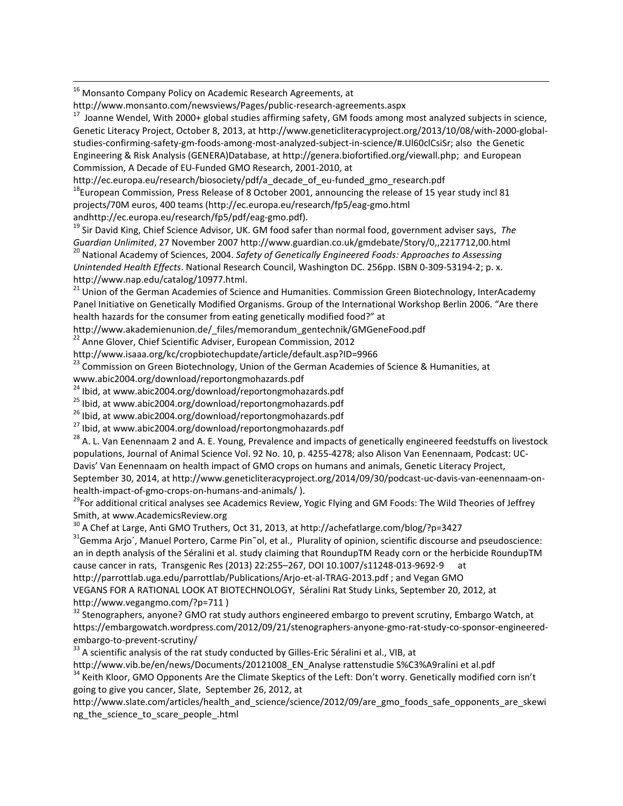<span id="page-12-10"></span><sup>16</sup> Monsanto Company Policy on Academic Research Agreements, at

<span id="page-12-11"></span>http://www.monsanto.com/newsviews/Pages/public-research-agreements.aspx<br><sup>17</sup> Joanne Wendel, With 2000+ global studies affirming safety, GM foods among most analyzed subjects in science, Genetic Literacy Project, October 8, 2013, at http://www.geneticliteracyproject.org/2013/10/08/with-2000-globalstudies-confirming-safety-gm-foods-among-most-analyzed-subject-in-science/#.Ul60clCsiSr; also the Genetic Engineering & Risk Analysis (GENERA)Database, at http://genera.biofortified.org/viewall.php; and European Commission, A Decade of EU-Funded GMO Research, 2001-2010, at

<span id="page-12-12"></span>http://ec.europa.eu/research/biosociety/pdf/a\_decade\_of\_eu-funded\_gmo\_research.pdf<br><sup>18</sup>European Commission, Press Release of 8 October 2001, announcing the release of 15 year study incl 81 projects/70M euros, 400 teams (http://ec.europa.eu/research/fp5/eag-gmo.html

andhttp://ec.europa.eu/research/fp5/pdf/eag-gmo.pdf).<br><sup>19</sup> Sir David King, Chief Science Advisor, UK. GM food safer than normal food, government adviser says, *The Guardian Unlimited*, 27 November 2007 http://www.guardian.

<sup>20</sup> National Academy of Sciences, 2004. Safety of Genetically Engineered Foods: Approaches to Assessing *Unintended Health Effects*. National Research Council, Washington DC. 256pp. ISBN 0-309-53194-2; p. x.

http://www.nap.edu/catalog/10977.html.<br><sup>21</sup> Union of the German Academies of Science and Humanities. Commission Green Biotechnology, InterAcademy Panel Initiative on Genetically Modified Organisms. Group of the International Workshop Berlin 2006. "Are there health hazards for the consumer from eating genetically modified food?" at

http://www.akademienunion.de/\_files/memorandum\_gentechnik/GMGeneFood.pdf <sup>22</sup> Anne Glover, Chief Scientific Adviser, European Commission, 2012

<span id="page-12-0"></span>http://www.isaaa.org/kc/cropbiotechupdate/article/default.asp?ID=9966

<sup>23</sup> Commission on Green Biotechnology, Union of the German Academies of Science & Humanities, at www.abic2004.org/download/reportongmohazards.pdf<br><sup>24</sup> Ibid, at www.abic2004.org/download/reportongmohazards.pdf

<span id="page-12-1"></span>

<span id="page-12-2"></span>

<sup>25</sup> Ibid, at www.abic2004.org/download/reportongmohazards.pdf<br><sup>26</sup> Ibid, at www.abic2004.org/download/reportongmohazards.pdf<br><sup>27</sup> Ibid, at www.abic2004.org/download/reportongmohazards.pdf<br><sup>28</sup> A. L. Van Eenennaam 2 and A populations, Journal of Animal Science Vol. 92 No. 10, p. 4255-4278; also Alison Van Eenennaam, Podcast: UC-Davis' Van Eenennaam on health impact of GMO crops on humans and animals, Genetic Literacy Project,

<span id="page-12-3"></span>September 30, 2014, at http://www.geneticliteracyproject.org/2014/09/30/podcast-uc-davis-van-eenennaam-onhealth-impact-of-gmo-crops-on-humans-and-animals/ ).<br><sup>29</sup>For additional critical analyses see Academics Review, Yogic Flying and GM Foods: The Wild Theories of Jeffrey

<span id="page-12-4"></span>Smith, at www.AcademicsReview.org<br><sup>30</sup> A Chef at Large, Anti GMO Truthers, Oct 31, 2013, at http://achefatlarge.com/blog/?p=3427<br><sup>31</sup>Gemma Arjo´, Manuel Portero, Carme Pin~ol, et al., Plurality of opinion, scientific disco

<span id="page-12-5"></span>an in depth analysis of the Séralini et al. study claiming that RoundupTM Ready corn or the herbicide RoundupTM cause cancer in rats, Transgenic Res (2013) 22:255–267, DOI 10.1007/s11248-013-9692-9 at

<span id="page-12-6"></span>http://parrottlab.uga.edu/parrottlab/Publications/Arjo-et-al-TRAG-2013.pdf ; and Vegan GMO

VEGANS FOR A RATIONAL LOOK AT BIOTECHNOLOGY, Séralini Rat Study Links, September 20, 2012, at http://www.vegangmo.com/?p=711 )<br><sup>32</sup> Stenographers, anyone? GMO rat study authors engineered embargo to prevent scrutiny, Embargo Watch, at

<span id="page-12-7"></span>https://embargowatch.wordpress.com/2012/09/21/stenographers-anyone-gmo-rat-study-co-sponsor-engineeredembargo-to-prevent-scrutiny/<br><sup>33</sup> A scientific analysis of the rat study conducted by Gilles-Eric Séralini et al., VIB, at

<span id="page-12-8"></span>http://www.vib.be/en/news/Documents/20121008\_EN\_Analyse rattenstudie S%C3%A9ralini et al.pdf

<span id="page-12-9"></span><sup>34</sup> Keith Kloor, GMO Opponents Are the Climate Skeptics of the Left: Don't worry. Genetically modified corn isn't going to give you cancer, Slate, September 26, 2012, at

http://www.slate.com/articles/health\_and\_science/science/2012/09/are\_gmo\_foods\_safe\_opponents\_are\_skewi ng the science to scare people .html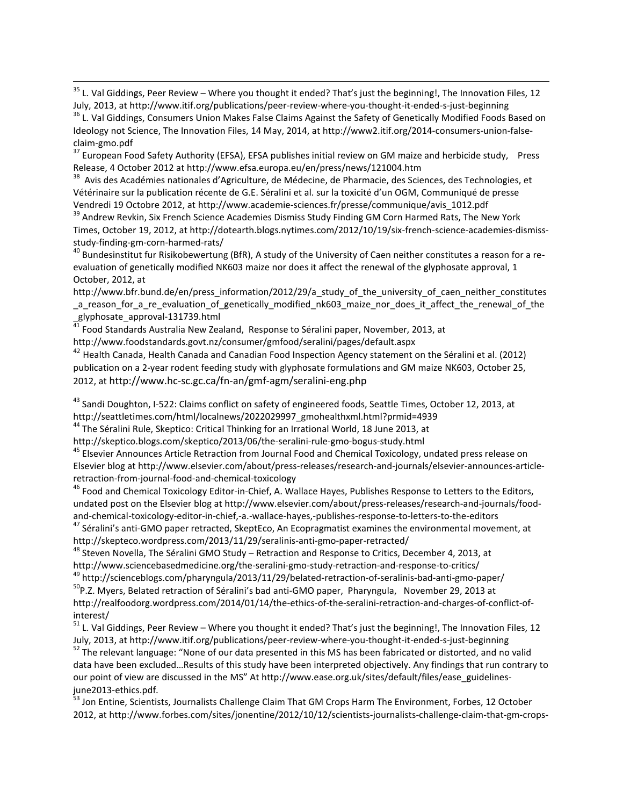<sup>35</sup> L. Val Giddings, Peer Review – Where you thought it ended? That's just the beginning!, The Innovation Files, 12 July, 2013, at http://www.itif.org/publications/peer-review-where-you-thought-it-ended-s-just-beginning<br><sup>36</sup> L. Val Giddings, Consumers Union Makes False Claims Against the Safety of Genetically Modified Foods Based on

Ideology not Science, The Innovation Files, 14 May, 2014, at http://www2.itif.org/2014-consumers-union-false-

claim-gmo.pdf<br><sup>37</sup> European Food Safety Authority (EFSA), EFSA publishes initial review on GM maize and herbicide study, Press<br>Release, 4 October 2012 at http://www.efsa.europa.eu/en/press/news/121004.htm

<sup>38</sup> Avis des Académies nationales d'Agriculture, de Médecine, de Pharmacie, des Sciences, des Technologies, et Vétérinaire sur la publication récente de G.E. Séralini et al. sur la toxicité d'un OGM, Communiqué de presse Vendredi 19 Octobre 2012, at http://www.academie-sciences.fr/presse/communique/avis\_1012.pdf<br><sup>39</sup> Andrew Revkin, Six French Science Academies Dismiss Study Finding GM Corn Harmed Rats, The New York

<span id="page-13-0"></span>Times, October 19, 2012, at http://dotearth.blogs.nytimes.com/2012/10/19/six-french-science-academies-dismissstudy-finding-gm-corn-harmed-rats/<br><sup>40</sup> Bundesinstitut fur Risikobewertung (BfR), A study of the University of Caen neither constitutes a reason for a re-

<span id="page-13-1"></span>evaluation of genetically modified NK603 maize nor does it affect the renewal of the glyphosate approval, 1 October, 2012, at

<span id="page-13-2"></span>http://www.bfr.bund.de/en/press\_information/2012/29/a\_study\_of\_the\_university\_of\_caen\_neither\_constitutes \_a\_reason\_for\_a\_re\_evaluation\_of\_genetically\_modified\_nk603\_maize\_nor\_does\_it\_affect\_the\_renewal\_of\_the<br>\_glyphosate\_approval-131739.html<br><sup>41</sup> Feed Si

<span id="page-13-3"></span>Food Standards Australia New Zealand, Response to Séralini paper, November, 2013, at http://www.foodstandards.govt.nz/consumer/gmfood/seralini/pages/default.aspx

<span id="page-13-4"></span> $^{42}$  Health Canada, Health Canada and Canadian Food Inspection Agency statement on the Séralini et al. (2012) publication on a 2-year rodent feeding study with glyphosate formulations and GM maize NK603, October 25, 2012, at http://www.hc-sc.gc.ca/fn-an/gmf-agm/seralini-eng.php

<span id="page-13-7"></span><span id="page-13-6"></span><span id="page-13-5"></span><sup>43</sup> Sandi Doughton, I-522: Claims conflict on safety of engineered foods, Seattle Times, October 12, 2013, at http://seattletimes.com/html/localnews/2022029997\_gmohealthxml.html?prmid=4939<br><sup>44</sup> The Séralini Rule, Skeptico: Critical Thinking for an Irrational World, 18 June 2013, at

<span id="page-13-8"></span>

<span id="page-13-9"></span>http://skeptico.blogs.com/skeptico/2013/06/the-seralini-rule-gmo-bogus-study.html<br><sup>45</sup> Elsevier Announces Article Retraction from Journal Food and Chemical Toxicology, undated press release on Elsevier blog at http://www.elsevier.com/about/press-releases/research-and-journals/elsevier-announces-articleretraction-from-journal-food-and-chemical-toxicology<br><sup>46</sup> Food and Chemical Toxicology Editor-in-Chief, A. Wallace Hayes, Publishes Response to Letters to the Editors,

undated post on the Elsevier blog at http://www.elsevier.com/about/press-releases/research-and-journals/food-<br>and-chemical-toxicology-editor-in-chief,-a.-wallace-hayes,-publishes-response-to-letters-to-the-editors

<sup>47</sup> Séralini's anti-GMO paper retracted, SkeptEco, An Ecopragmatist examines the environmental movement, at http://skepteco.wordpress.com/2013/11/29/seralinis-anti-gmo-paper-retracted/

<sup>48</sup> Steven Novella, The Séralini GMO Study – Retraction and Response to Critics, December 4, 2013, at<br>http://www.sciencebasedmedicine.org/the-seralini-gmo-study-retraction-and-response-to-critics/

<sup>49</sup> http://scienceblogs.com/pharyngula/2013/11/29/belated-retraction-of-seralinis-bad-anti-gmo-paper/<br><sup>50</sup>P.Z. Myers, Belated retraction of Séralini's bad anti-GMO paper, Pharyngula, November 29, 2013 at http://realfoodorg.wordpress.com/2014/01/14/the-ethics-of-the-seralini-retraction-and-charges-of-conflict-of-

interest/

 $51$  L. Val Giddings, Peer Review – Where you thought it ended? That's just the beginning!, The Innovation Files, 12<br>July, 2013, at http://www.itif.org/publications/peer-review-where-you-thought-it-ended-s-just-beginning

<sup>52</sup> The relevant language: "None of our data presented in this MS has been fabricated or distorted, and no valid data have been excluded…Results of this study have been interpreted objectively. Any findings that run contrary to our point of view are discussed in the MS" At http://www.ease.org.uk/sites/default/files/ease\_guidelines-<br>june2013-ethics.pdf.

<sup>53</sup> Jon Entine, Scientists, Journalists Challenge Claim That GM Crops Harm The Environment, Forbes, 12 October 2012, at http://www.forbes.com/sites/jonentine/2012/10/12/scientists-journalists-challenge-claim-that-gm-crops